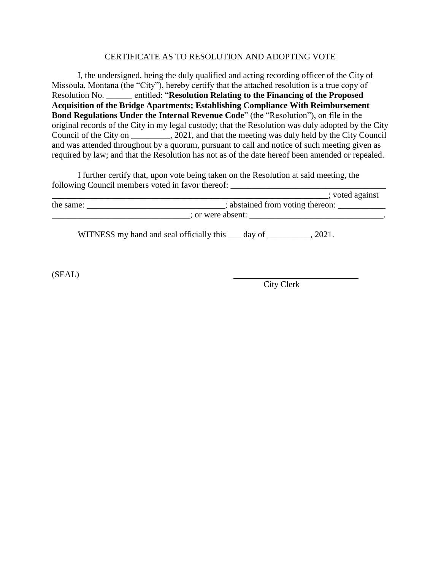## CERTIFICATE AS TO RESOLUTION AND ADOPTING VOTE

I, the undersigned, being the duly qualified and acting recording officer of the City of Missoula, Montana (the "City"), hereby certify that the attached resolution is a true copy of Resolution No. \_\_\_\_\_\_ entitled: "**Resolution Relating to the Financing of the Proposed Acquisition of the Bridge Apartments; Establishing Compliance With Reimbursement Bond Regulations Under the Internal Revenue Code**" (the "Resolution"), on file in the original records of the City in my legal custody; that the Resolution was duly adopted by the City Council of the City on \_\_\_\_\_\_\_\_\_, 2021, and that the meeting was duly held by the City Council and was attended throughout by a quorum, pursuant to call and notice of such meeting given as required by law; and that the Resolution has not as of the date hereof been amended or repealed.

I further certify that, upon vote being taken on the Resolution at said meeting, the following Council members voted in favor thereof: \_\_\_\_\_\_\_\_\_\_\_\_\_\_\_\_\_\_\_\_\_\_\_\_\_\_\_\_\_\_\_\_\_\_\_\_

|           |                                          |        | voted against |  |
|-----------|------------------------------------------|--------|---------------|--|
| the same: |                                          |        |               |  |
|           | ; or were absent:                        |        |               |  |
|           | WITNESS my hand and seal officially this | day of | 2021          |  |

(SEAL)

City Clerk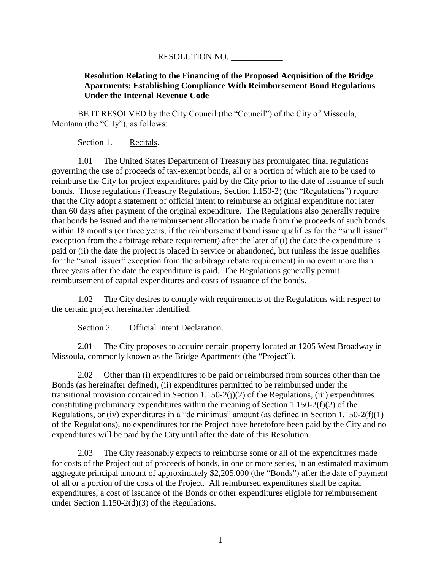## RESOLUTION NO.

## **Resolution Relating to the Financing of the Proposed Acquisition of the Bridge Apartments; Establishing Compliance With Reimbursement Bond Regulations Under the Internal Revenue Code**

BE IT RESOLVED by the City Council (the "Council") of the City of Missoula, Montana (the "City"), as follows:

Section 1. Recitals.

1.01 The United States Department of Treasury has promulgated final regulations governing the use of proceeds of tax-exempt bonds, all or a portion of which are to be used to reimburse the City for project expenditures paid by the City prior to the date of issuance of such bonds. Those regulations (Treasury Regulations, Section 1.150-2) (the "Regulations") require that the City adopt a statement of official intent to reimburse an original expenditure not later than 60 days after payment of the original expenditure. The Regulations also generally require that bonds be issued and the reimbursement allocation be made from the proceeds of such bonds within 18 months (or three years, if the reimbursement bond issue qualifies for the "small issuer" exception from the arbitrage rebate requirement) after the later of (i) the date the expenditure is paid or (ii) the date the project is placed in service or abandoned, but (unless the issue qualifies for the "small issuer" exception from the arbitrage rebate requirement) in no event more than three years after the date the expenditure is paid. The Regulations generally permit reimbursement of capital expenditures and costs of issuance of the bonds.

1.02 The City desires to comply with requirements of the Regulations with respect to the certain project hereinafter identified.

Section 2. Official Intent Declaration.

2.01 The City proposes to acquire certain property located at 1205 West Broadway in Missoula, commonly known as the Bridge Apartments (the "Project").

2.02 Other than (i) expenditures to be paid or reimbursed from sources other than the Bonds (as hereinafter defined), (ii) expenditures permitted to be reimbursed under the transitional provision contained in Section 1.150-2(j)(2) of the Regulations, (iii) expenditures constituting preliminary expenditures within the meaning of Section 1.150-2(f)(2) of the Regulations, or (iv) expenditures in a "de minimus" amount (as defined in Section 1.150-2(f)(1) of the Regulations), no expenditures for the Project have heretofore been paid by the City and no expenditures will be paid by the City until after the date of this Resolution.

2.03 The City reasonably expects to reimburse some or all of the expenditures made for costs of the Project out of proceeds of bonds, in one or more series, in an estimated maximum aggregate principal amount of approximately \$2,205,000 (the "Bonds") after the date of payment of all or a portion of the costs of the Project. All reimbursed expenditures shall be capital expenditures, a cost of issuance of the Bonds or other expenditures eligible for reimbursement under Section 1.150-2(d)(3) of the Regulations.